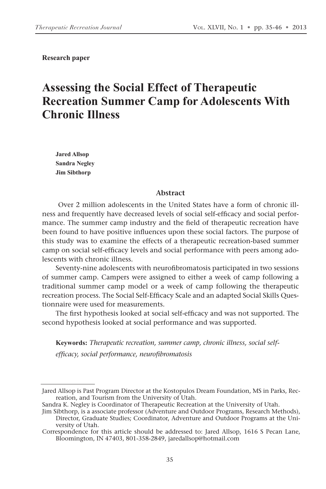**Research paper**

# **Assessing the Social Effect of Therapeutic Recreation Summer Camp for Adolescents With Chronic Illness**

**Jared Allsop Sandra Negley Jim Sibthorp**

#### **Abstract**

 Over 2 million adolescents in the United States have a form of chronic illness and frequently have decreased levels of social self-efficacy and social performance. The summer camp industry and the field of therapeutic recreation have been found to have positive influences upon these social factors. The purpose of this study was to examine the effects of a therapeutic recreation-based summer camp on social self-efficacy levels and social performance with peers among adolescents with chronic illness.

Seventy-nine adolescents with neurofibromatosis participated in two sessions of summer camp. Campers were assigned to either a week of camp following a traditional summer camp model or a week of camp following the therapeutic recreation process. The Social Self-Efficacy Scale and an adapted Social Skills Questionnaire were used for measurements.

The first hypothesis looked at social self-efficacy and was not supported. The second hypothesis looked at social performance and was supported.

**Keywords:** *Therapeutic recreation, summer camp, chronic illness, social selfefficacy, social performance, neurofibromatosis*

Jared Allsop is Past Program Director at the Kostopulos Dream Foundation, MS in Parks, Recreation, and Tourism from the University of Utah.

Sandra K. Negley is Coordinator of Therapeutic Recreation at the University of Utah.

Jim Sibthorp, is a associate professor (Adventure and Outdoor Programs, Research Methods), Director, Graduate Studies; Coordinator, Adventure and Outdoor Programs at the University of Utah.

Correspondence for this article should be addressed to: Jared Allsop, 1616 S Pecan Lane, Bloomington, IN 47403, 801-358-2849, jaredallsop@hotmail.com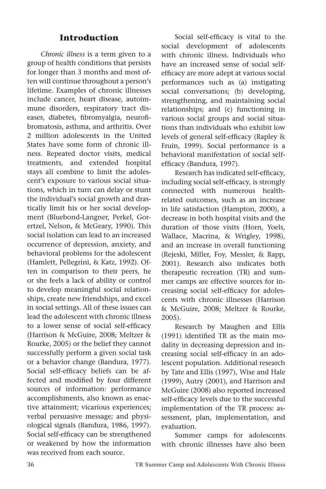### **Introduction**

*Chronic illness* is a term given to a group of health conditions that persists for longer than 3 months and most often will continue throughout a person's lifetime. Examples of chronic illnesses include cancer, heart disease, autoimmune disorders, respiratory tract diseases, diabetes, fibromyalgia, neurofibromatosis, asthma, and arthritis. Over 2 million adolescents in the United States have some form of chronic illness. Repeated doctor visits, medical treatments, and extended hospital stays all combine to limit the adolescent's exposure to various social situations, which in turn can delay or stunt the individual's social growth and drastically limit his or her social development (Bluebond-Langner, Perkel, Gorertzel, Nelson, & McGeary, 1990). This social isolation can lead to an increased occurrence of depression, anxiety, and behavioral problems for the adolescent (Hamlett, Pellegrini, & Katz, 1992). Often in comparison to their peers, he or she feels a lack of ability or control to develop meaningful social relationships, create new friendships, and excel in social settings. All of these issues can lead the adolescent with chronic illness to a lower sense of social self-efficacy (Harrison & McGuire, 2008; Meltzer & Rourke, 2005) or the belief they cannot successfully perform a given social task or a behavior change (Bandura, 1977). Social self-efficacy beliefs can be affected and modified by four different sources of information: performance accomplishments, also known as enactive attainment; vicarious experiences; verbal persuasive message; and physiological signals (Bandura, 1986, 1997). Social self-efficacy can be strengthened or weakened by how the information was received from each source.

Social self-efficacy is vital to the social development of adolescents with chronic illness. Individuals who have an increased sense of social selfefficacy are more adept at various social performances such as (a) instigating social conversations; (b) developing, strengthening, and maintaining social relationships; and (c) functioning in various social groups and social situations than individuals who exhibit low levels of general self-efficacy (Rapley & Fruin, 1999). Social performance is a behavioral manifestation of social selfefficacy (Bandura, 1997).

Research has indicated self-efficacy, including social self-efficacy, is strongly connected with numerous healthrelated outcomes, such as an increase in life satisfaction (Hampton, 2000), a decrease in both hospital visits and the duration of those visits (Horn, Yoels, Wallace, Macrina, & Wrigley, 1998), and an increase in overall functioning (Rejeski, Miller, Foy, Messier, & Rapp, 2001). Research also indicates both therapeutic recreation (TR) and summer camps are effective sources for increasing social self-efficacy for adolescents with chronic illnesses (Harrison & McGuire, 2008; Meltzer & Rourke, 2005).

Research by Maughen and Ellis (1991) identified TR as the main modality in decreasing depression and increasing social self-efficacy in an adolescent population. Additional research by Tate and Ellis (1997), Wise and Hale (1999), Autry (2001), and Harrison and McGuire (2008) also reported increased self-efficacy levels due to the successful implementation of the TR process: assessment, plan, implementation, and evaluation.

Summer camps for adolescents with chronic illnesses have also been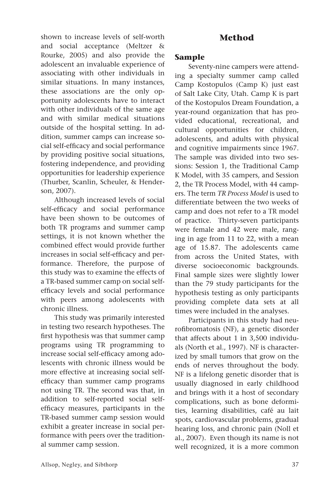shown to increase levels of self-worth and social acceptance (Meltzer & Rourke, 2005) and also provide the adolescent an invaluable experience of associating with other individuals in similar situations. In many instances, these associations are the only opportunity adolescents have to interact with other individuals of the same age and with similar medical situations outside of the hospital setting. In addition, summer camps can increase social self-efficacy and social performance by providing positive social situations, fostering independence, and providing opportunities for leadership experience (Thurber, Scanlin, Scheuler, & Henderson, 2007).

Although increased levels of social self-efficacy and social performance have been shown to be outcomes of both TR programs and summer camp settings, it is not known whether the combined effect would provide further increases in social self-efficacy and performance. Therefore, the purpose of this study was to examine the effects of a TR-based summer camp on social selfefficacy levels and social performance with peers among adolescents with chronic illness.

This study was primarily interested in testing two research hypotheses. The first hypothesis was that summer camp programs using TR programming to increase social self-efficacy among adolescents with chronic illness would be more effective at increasing social selfefficacy than summer camp programs not using TR. The second was that, in addition to self-reported social selfefficacy measures, participants in the TR-based summer camp session would exhibit a greater increase in social performance with peers over the traditional summer camp session.

## **Method**

### **Sample**

Seventy-nine campers were attending a specialty summer camp called Camp Kostopulos (Camp K) just east of Salt Lake City, Utah. Camp K is part of the Kostopulos Dream Foundation, a year-round organization that has provided educational, recreational, and cultural opportunities for children, adolescents, and adults with physical and cognitive impairments since 1967. The sample was divided into two sessions: Session 1, the Traditional Camp K Model, with 35 campers, and Session 2, the TR Process Model, with 44 campers. The term *TR Process Model* is used to differentiate between the two weeks of camp and does not refer to a TR model of practice. Thirty-seven participants were female and 42 were male, ranging in age from 11 to 22, with a mean age of 15.87. The adolescents came from across the United States, with diverse socioeconomic backgrounds. Final sample sizes were slightly lower than the 79 study participants for the hypothesis testing as only participants providing complete data sets at all times were included in the analyses.

Participants in this study had neurofibromatosis (NF), a genetic disorder that affects about 1 in 3,500 individuals (North et al., 1997). NF is characterized by small tumors that grow on the ends of nerves throughout the body. NF is a lifelong genetic disorder that is usually diagnosed in early childhood and brings with it a host of secondary complications, such as bone deformities, learning disabilities, café au lait spots, cardiovascular problems, gradual hearing loss, and chronic pain (Noll et al., 2007). Even though its name is not well recognized, it is a more common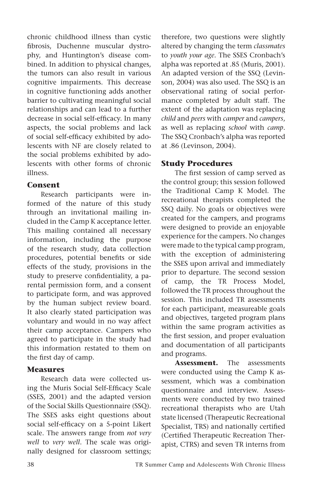chronic childhood illness than cystic fibrosis, Duchenne muscular dystrophy, and Huntington's disease combined. In addition to physical changes, the tumors can also result in various cognitive impairments. This decrease in cognitive functioning adds another barrier to cultivating meaningful social relationships and can lead to a further decrease in social self-efficacy. In many aspects, the social problems and lack of social self-efficacy exhibited by adolescents with NF are closely related to the social problems exhibited by adolescents with other forms of chronic illness.

#### **Consent**

Research participants were informed of the nature of this study through an invitational mailing included in the Camp K acceptance letter. This mailing contained all necessary information, including the purpose of the research study, data collection procedures, potential benefits or side effects of the study, provisions in the study to preserve confidentiality, a parental permission form, and a consent to participate form, and was approved by the human subject review board. It also clearly stated participation was voluntary and would in no way affect their camp acceptance. Campers who agreed to participate in the study had this information restated to them on the first day of camp.

### **Measures**

Research data were collected using the Muris Social Self-Efficacy Scale (SSES, 2001) and the adapted version of the Social Skills Questionnaire (SSQ). The SSES asks eight questions about social self-efficacy on a 5-point Likert scale. The answers range from *not very well* to *very well*. The scale was originally designed for classroom settings; therefore, two questions were slightly altered by changing the term *classmates* to *youth your age*. The SSES Cronbach's alpha was reported at .85 (Muris, 2001). An adapted version of the SSQ (Levinson, 2004) was also used. The SSQ is an observational rating of social performance completed by adult staff. The extent of the adaptation was replacing *child* and *peers* with *camper* and *campers*, as well as replacing *school* with *camp*. The SSQ Cronbach's alpha was reported at .86 (Levinson, 2004).

## **Study Procedures**

The first session of camp served as the control group; this session followed the Traditional Camp K Model. The recreational therapists completed the SSQ daily. No goals or objectives were created for the campers, and programs were designed to provide an enjoyable experience for the campers. No changes were made to the typical camp program, with the exception of administering the SSES upon arrival and immediately prior to departure. The second session of camp, the TR Process Model, followed the TR process throughout the session. This included TR assessments for each participant, measureable goals and objectives, targeted program plans within the same program activities as the first session, and proper evaluation and documentation of all participants and programs.

**Assessment.** The assessments were conducted using the Camp K assessment, which was a combination questionnaire and interview. Assessments were conducted by two trained recreational therapists who are Utah state licensed (Therapeutic Recreational Specialist, TRS) and nationally certified (Certified Therapeutic Recreation Therapist, CTRS) and seven TR interns from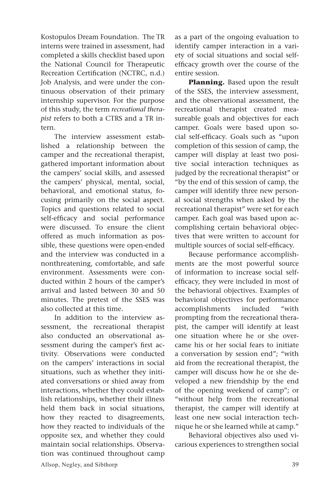Kostopulos Dream Foundation. The TR interns were trained in assessment, had completed a skills checklist based upon the National Council for Therapeutic Recreation Certification (NCTRC, n.d.) Job Analysis, and were under the continuous observation of their primary internship supervisor. For the purpose of this study, the term *recreational therapist* refers to both a CTRS and a TR intern.

The interview assessment established a relationship between the camper and the recreational therapist, gathered important information about the campers' social skills, and assessed the campers' physical, mental, social, behavioral, and emotional status, focusing primarily on the social aspect. Topics and questions related to social self-efficacy and social performance were discussed. To ensure the client offered as much information as possible, these questions were open-ended and the interview was conducted in a nonthreatening, comfortable, and safe environment. Assessments were conducted within 2 hours of the camper's arrival and lasted between 30 and 50 minutes. The pretest of the SSES was also collected at this time.

In addition to the interview assessment, the recreational therapist also conducted an observational assessment during the camper's first activity. Observations were conducted on the campers' interactions in social situations, such as whether they initiated conversations or shied away from interactions, whether they could establish relationships, whether their illness held them back in social situations, how they reacted to disagreements, how they reacted to individuals of the opposite sex, and whether they could maintain social relationships. Observation was continued throughout camp as a part of the ongoing evaluation to identify camper interaction in a variety of social situations and social selfefficacy growth over the course of the entire session.

**Planning.** Based upon the result of the SSES, the interview assessment, and the observational assessment, the recreational therapist created measureable goals and objectives for each camper. Goals were based upon social self-efficacy. Goals such as "upon completion of this session of camp, the camper will display at least two positive social interaction techniques as judged by the recreational therapist" or "by the end of this session of camp, the camper will identify three new personal social strengths when asked by the recreational therapist" were set for each camper. Each goal was based upon accomplishing certain behavioral objectives that were written to account for multiple sources of social self-efficacy.

Because performance accomplishments are the most powerful source of information to increase social selfefficacy, they were included in most of the behavioral objectives. Examples of behavioral objectives for performance accomplishments included "with prompting from the recreational therapist, the camper will identify at least one situation where he or she overcame his or her social fears to initiate a conversation by session end"; "with aid from the recreational therapist, the camper will discuss how he or she developed a new friendship by the end of the opening weekend of camp"; or "without help from the recreational therapist, the camper will identify at least one new social interaction technique he or she learned while at camp."

Behavioral objectives also used vicarious experiences to strengthen social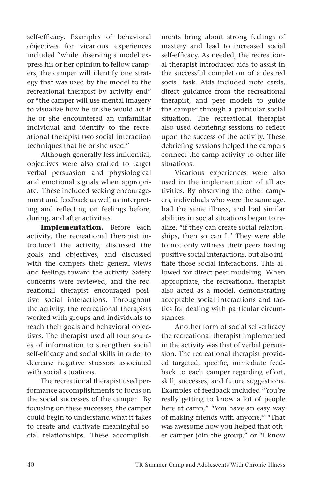self-efficacy. Examples of behavioral objectives for vicarious experiences included "while observing a model express his or her opinion to fellow campers, the camper will identify one strategy that was used by the model to the recreational therapist by activity end" or "the camper will use mental imagery to visualize how he or she would act if he or she encountered an unfamiliar individual and identify to the recreational therapist two social interaction techniques that he or she used."

Although generally less influential, objectives were also crafted to target verbal persuasion and physiological and emotional signals when appropriate. These included seeking encouragement and feedback as well as interpreting and reflecting on feelings before, during, and after activities.

**Implementation.** Before each activity, the recreational therapist introduced the activity, discussed the goals and objectives, and discussed with the campers their general views and feelings toward the activity. Safety concerns were reviewed, and the recreational therapist encouraged positive social interactions. Throughout the activity, the recreational therapists worked with groups and individuals to reach their goals and behavioral objectives. The therapist used all four sources of information to strengthen social self-efficacy and social skills in order to decrease negative stressors associated with social situations.

The recreational therapist used performance accomplishments to focus on the social successes of the camper. By focusing on these successes, the camper could begin to understand what it takes to create and cultivate meaningful social relationships. These accomplishments bring about strong feelings of mastery and lead to increased social self-efficacy. As needed, the recreational therapist introduced aids to assist in the successful completion of a desired social task. Aids included note cards, direct guidance from the recreational therapist, and peer models to guide the camper through a particular social situation. The recreational therapist also used debriefing sessions to reflect upon the success of the activity. These debriefing sessions helped the campers connect the camp activity to other life situations.

Vicarious experiences were also used in the implementation of all activities. By observing the other campers, individuals who were the same age, had the same illness, and had similar abilities in social situations began to realize, "if they can create social relationships, then so can I." They were able to not only witness their peers having positive social interactions, but also initiate those social interactions. This allowed for direct peer modeling. When appropriate, the recreational therapist also acted as a model, demonstrating acceptable social interactions and tactics for dealing with particular circumstances.

Another form of social self-efficacy the recreational therapist implemented in the activity was that of verbal persuasion. The recreational therapist provided targeted, specific, immediate feedback to each camper regarding effort, skill, successes, and future suggestions. Examples of feedback included "You're really getting to know a lot of people here at camp," "You have an easy way of making friends with anyone," "That was awesome how you helped that other camper join the group," or "I know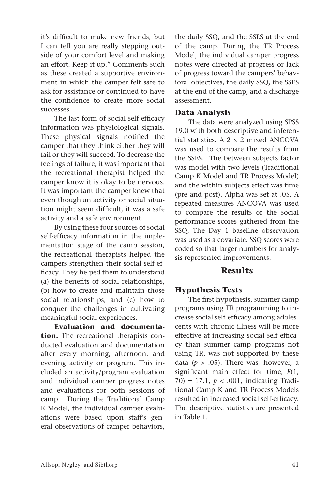it's difficult to make new friends, but I can tell you are really stepping outside of your comfort level and making an effort. Keep it up." Comments such as these created a supportive environment in which the camper felt safe to ask for assistance or continued to have the confidence to create more social successes.

The last form of social self-efficacy information was physiological signals. These physical signals notified the camper that they think either they will fail or they will succeed. To decrease the feelings of failure, it was important that the recreational therapist helped the camper know it is okay to be nervous. It was important the camper knew that even though an activity or social situation might seem difficult, it was a safe activity and a safe environment.

By using these four sources of social self-efficacy information in the implementation stage of the camp session, the recreational therapists helped the campers strengthen their social self-efficacy. They helped them to understand (a) the benefits of social relationships, (b) how to create and maintain those social relationships, and (c) how to conquer the challenges in cultivating meaningful social experiences.

**Evaluation and documentation.** The recreational therapists conducted evaluation and documentation after every morning, afternoon, and evening activity or program. This included an activity/program evaluation and individual camper progress notes and evaluations for both sessions of camp. During the Traditional Camp K Model, the individual camper evaluations were based upon staff's general observations of camper behaviors, the daily SSQ, and the SSES at the end of the camp. During the TR Process Model, the individual camper progress notes were directed at progress or lack of progress toward the campers' behavioral objectives, the daily SSQ, the SSES at the end of the camp, and a discharge assessment.

#### **Data Analysis**

The data were analyzed using SPSS 19.0 with both descriptive and inferential statistics. A 2 x 2 mixed ANCOVA was used to compare the results from the SSES. The between subjects factor was model with two levels (Traditional Camp K Model and TR Process Model) and the within subjects effect was time (pre and post). Alpha was set at .05. A repeated measures ANCOVA was used to compare the results of the social performance scores gathered from the SSQ. The Day 1 baseline observation was used as a covariate. SSQ scores were coded so that larger numbers for analysis represented improvements.

## **Results**

### **Hypothesis Tests**

The first hypothesis, summer camp programs using TR programming to increase social self-efficacy among adolescents with chronic illness will be more effective at increasing social self-efficacy than summer camp programs not using TR, was not supported by these data ( $p > .05$ ). There was, however, a significant main effect for time, *F*(1, 70) = 17.1, *p* < .001, indicating Traditional Camp K and TR Process Models resulted in increased social self-efficacy. The descriptive statistics are presented in Table 1.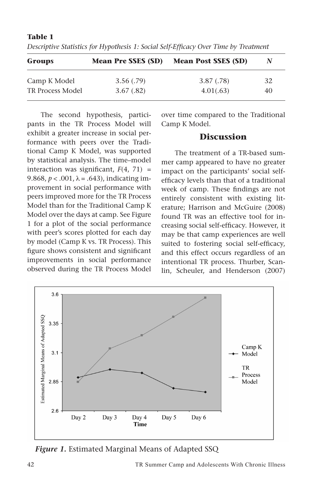| Groups           | <b>Mean Pre SSES (SD)</b> | <b>Mean Post SSES (SD)</b> | N  |
|------------------|---------------------------|----------------------------|----|
| Camp K Model     | 3.56(.79)                 | 3.87 (.78)                 | 32 |
| TR Process Model | 3.67(.82)                 | 4.01(.63)                  | 40 |

**Table 1**

*Descriptive Statistics for Hypothesis 1: Social Self-Efficacy Over Time by Treatment*

The second hypothesis, participants in the TR Process Model will exhibit a greater increase in social performance with peers over the Traditional Camp K Model, was supported by statistical analysis. The time–model interaction was significant,  $F(4, 71) =$ 9.868,  $p < .001$ ,  $\lambda = .643$ ), indicating improvement in social performance with peers improved more for the TR Process Model than for the Traditional Camp K Model over the days at camp. See Figure 1 for a plot of the social performance with peer's scores plotted for each day by model (Camp K vs. TR Process). This figure shows consistent and significant improvements in social performance observed during the TR Process Model over time compared to the Traditional Camp K Model.

## **Discussion**

The treatment of a TR-based summer camp appeared to have no greater impact on the participants' social selfefficacy levels than that of a traditional week of camp. These findings are not entirely consistent with existing literature; Harrison and McGuire (2008) found TR was an effective tool for increasing social self-efficacy. However, it may be that camp experiences are well suited to fostering social self-efficacy, and this effect occurs regardless of an intentional TR process. Thurber, Scanlin, Scheuler, and Henderson (2007)



*Figure 1.* Estimated Marginal Means of Adapted SSQ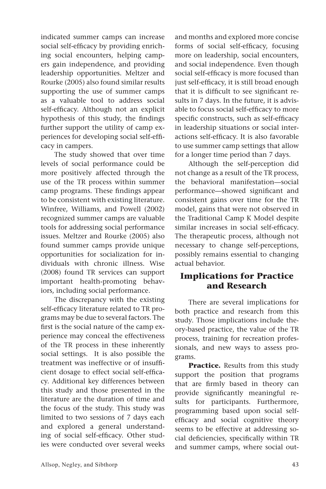indicated summer camps can increase social self-efficacy by providing enriching social encounters, helping campers gain independence, and providing leadership opportunities. Meltzer and Rourke (2005) also found similar results supporting the use of summer camps as a valuable tool to address social self-efficacy. Although not an explicit hypothesis of this study, the findings further support the utility of camp experiences for developing social self-efficacy in campers.

The study showed that over time levels of social performance could be more positively affected through the use of the TR process within summer camp programs. These findings appear to be consistent with existing literature. Winfree, Williams, and Powell (2002) recognized summer camps are valuable tools for addressing social performance issues. Meltzer and Rourke (2005) also found summer camps provide unique opportunities for socialization for individuals with chronic illness. Wise (2008) found TR services can support important health-promoting behaviors, including social performance.

The discrepancy with the existing self-efficacy literature related to TR programs may be due to several factors. The first is the social nature of the camp experience may conceal the effectiveness of the TR process in these inherently social settings. It is also possible the treatment was ineffective or of insufficient dosage to effect social self-efficacy. Additional key differences between this study and those presented in the literature are the duration of time and the focus of the study. This study was limited to two sessions of 7 days each and explored a general understanding of social self-efficacy. Other studies were conducted over several weeks and months and explored more concise forms of social self-efficacy, focusing more on leadership, social encounters, and social independence. Even though social self-efficacy is more focused than just self-efficacy, it is still broad enough that it is difficult to see significant results in 7 days. In the future, it is advisable to focus social self-efficacy to more specific constructs, such as self-efficacy in leadership situations or social interactions self-efficacy. It is also favorable to use summer camp settings that allow for a longer time period than 7 days.

Although the self-perception did not change as a result of the TR process, the behavioral manifestation—social performance—showed significant and consistent gains over time for the TR model, gains that were not observed in the Traditional Camp K Model despite similar increases in social self-efficacy. The therapeutic process, although not necessary to change self-perceptions, possibly remains essential to changing actual behavior.

## **Implications for Practice and Research**

There are several implications for both practice and research from this study. Those implications include theory-based practice, the value of the TR process, training for recreation professionals, and new ways to assess programs.

**Practice.** Results from this study support the position that programs that are firmly based in theory can provide significantly meaningful results for participants. Furthermore, programming based upon social selfefficacy and social cognitive theory seems to be effective at addressing social deficiencies, specifically within TR and summer camps, where social out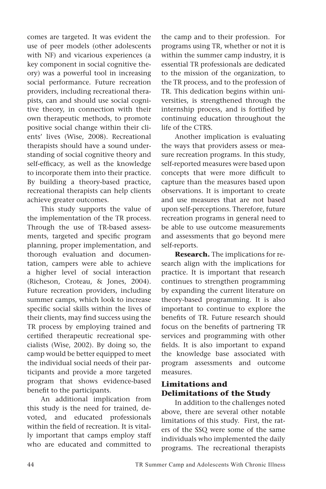comes are targeted. It was evident the use of peer models (other adolescents with NF) and vicarious experiences (a key component in social cognitive theory) was a powerful tool in increasing social performance. Future recreation providers, including recreational therapists, can and should use social cognitive theory, in connection with their own therapeutic methods, to promote positive social change within their clients' lives (Wise, 2008). Recreational therapists should have a sound understanding of social cognitive theory and self-efficacy, as well as the knowledge to incorporate them into their practice. By building a theory-based practice, recreational therapists can help clients achieve greater outcomes.

This study supports the value of the implementation of the TR process. Through the use of TR-based assessments, targeted and specific program planning, proper implementation, and thorough evaluation and documentation, campers were able to achieve a higher level of social interaction (Richeson, Croteau, & Jones, 2004). Future recreation providers, including summer camps, which look to increase specific social skills within the lives of their clients, may find success using the TR process by employing trained and certified therapeutic recreational specialists (Wise, 2002). By doing so, the camp would be better equipped to meet the individual social needs of their participants and provide a more targeted program that shows evidence-based benefit to the participants.

An additional implication from this study is the need for trained, devoted, and educated professionals within the field of recreation. It is vitally important that camps employ staff who are educated and committed to the camp and to their profession. For programs using TR, whether or not it is within the summer camp industry, it is essential TR professionals are dedicated to the mission of the organization, to the TR process, and to the profession of TR. This dedication begins within universities, is strengthened through the internship process, and is fortified by continuing education throughout the life of the CTRS.

Another implication is evaluating the ways that providers assess or measure recreation programs. In this study, self-reported measures were based upon concepts that were more difficult to capture than the measures based upon observations. It is important to create and use measures that are not based upon self-perceptions. Therefore, future recreation programs in general need to be able to use outcome measurements and assessments that go beyond mere self-reports.

**Research.** The implications for research align with the implications for practice. It is important that research continues to strengthen programming by expanding the current literature on theory-based programming. It is also important to continue to explore the benefits of TR. Future research should focus on the benefits of partnering TR services and programming with other fields. It is also important to expand the knowledge base associated with program assessments and outcome measures.

## **Limitations and Delimitations of the Study**

In addition to the challenges noted above, there are several other notable limitations of this study. First, the raters of the SSQ were some of the same individuals who implemented the daily programs. The recreational therapists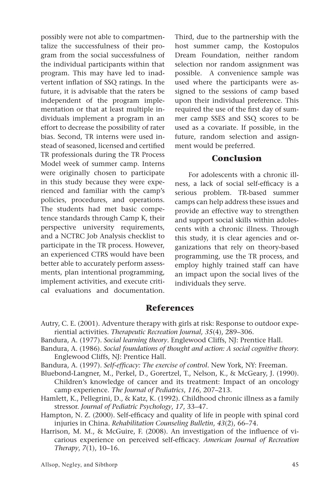possibly were not able to compartmentalize the successfulness of their program from the social successfulness of the individual participants within that program. This may have led to inadvertent inflation of SSQ ratings. In the future, it is advisable that the raters be independent of the program implementation or that at least multiple individuals implement a program in an effort to decrease the possibility of rater bias. Second, TR interns were used instead of seasoned, licensed and certified TR professionals during the TR Process Model week of summer camp. Interns were originally chosen to participate in this study because they were experienced and familiar with the camp's policies, procedures, and operations. The students had met basic competence standards through Camp K, their perspective university requirements, and a NCTRC Job Analysis checklist to participate in the TR process. However, an experienced CTRS would have been better able to accurately perform assessments, plan intentional programming, implement activities, and execute critical evaluations and documentation. Third, due to the partnership with the host summer camp, the Kostopulos Dream Foundation, neither random selection nor random assignment was possible. A convenience sample was used where the participants were assigned to the sessions of camp based upon their individual preference. This required the use of the first day of summer camp SSES and SSQ scores to be used as a covariate. If possible, in the future, random selection and assignment would be preferred.

#### **Conclusion**

For adolescents with a chronic illness, a lack of social self-efficacy is a serious problem. TR-based summer camps can help address these issues and provide an effective way to strengthen and support social skills within adolescents with a chronic illness. Through this study, it is clear agencies and organizations that rely on theory-based programming, use the TR process, and employ highly trained staff can have an impact upon the social lives of the individuals they serve.

## **References**

- Autry, C. E. (2001). Adventure therapy with girls at risk: Response to outdoor experiential activities. *Therapeutic Recreation Journal, 35*(4), 289–306.
- Bandura, A. (1977). *Social learning theory*. Englewood Cliffs, NJ: Prentice Hall.
- Bandura, A. (1986). *Social foundations of thought and action: A social cognitive theory.* Englewood Cliffs, NJ: Prentice Hall.

Bandura, A. (1997). *Self-efficacy: The exercise of control.* New York, NY: Freeman.

- Bluebond-Langner, M., Perkel, D., Gorertzel, T., Nelson, K., & McGeary, J. (1990). Children's knowledge of cancer and its treatment: Impact of an oncology camp experience. *The Journal of Pediatrics*, *116*, 207–213.
- Hamlett, K., Pellegrini, D., & Katz, K. (1992). Childhood chronic illness as a family stressor. *Journal of Pediatric Psychology*, *17*, 33–47.
- Hampton, N. Z. (2000). Self-efficacy and quality of life in people with spinal cord injuries in China. *Rehabilitation Counseling Bulletin*, *43*(2), 66–74.
- Harrison, M. M., & McGuire, F. (2008). An investigation of the influence of vicarious experience on perceived self-efficacy. *American Journal of Recreation Therapy*, *7*(1), 10–16.